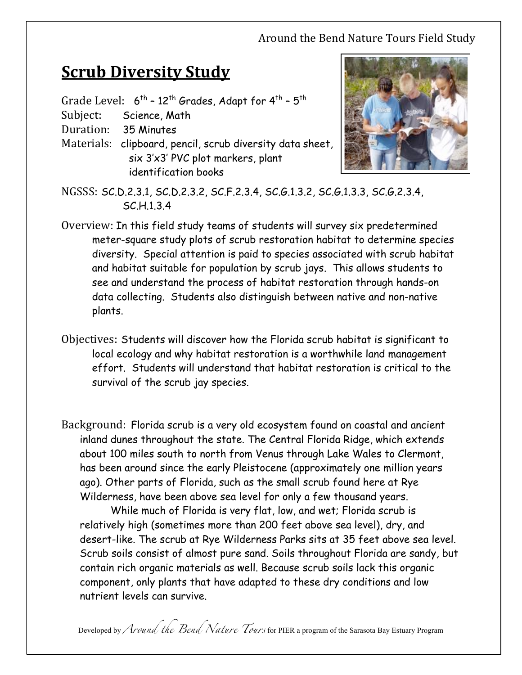## Around the Bend Nature Tours Field Study

## **<u>Scrub Diversity Study</u>**

Grade Level:  $6^{th}$  - 12<sup>th</sup> Grades, Adapt for 4<sup>th</sup> - 5<sup>th</sup>

Subject: Science, Math

Duration: 35 Minutes

Materials: clipboard, pencil, scrub diversity data sheet, six 3'x3' PVC plot markers, plant identification books



- NGSSS: SC.D.2.3.1, SC.D.2.3.2, SC.F.2.3.4, SC.G.1.3.2, SC.G.1.3.3, SC.G.2.3.4, SC.H.1.3.4
- Overview: In this field study teams of students will survey six predetermined meter-square study plots of scrub restoration habitat to determine species diversity. Special attention is paid to species associated with scrub habitat and habitat suitable for population by scrub jays. This allows students to see and understand the process of habitat restoration through hands-on data collecting. Students also distinguish between native and non-native plants.
- Objectives: Students will discover how the Florida scrub habitat is significant to local ecology and why habitat restoration is a worthwhile land management effort. Students will understand that habitat restoration is critical to the survival of the scrub jay species.
- Background: Florida scrub is a very old ecosystem found on coastal and ancient inland dunes throughout the state. The Central Florida Ridge, which extends about 100 miles south to north from Venus through Lake Wales to Clermont, has been around since the early Pleistocene (approximately one million years ago). Other parts of Florida, such as the small scrub found here at Rye Wilderness, have been above sea level for only a few thousand years.

While much of Florida is very flat, low, and wet; Florida scrub is relatively high (sometimes more than 200 feet above sea level), dry, and desert-like. The scrub at Rye Wilderness Parks sits at 35 feet above sea level. Scrub soils consist of almost pure sand. Soils throughout Florida are sandy, but contain rich organic materials as well. Because scrub soils lack this organic component, only plants that have adapted to these dry conditions and low nutrient levels can survive.

Developed by *Around the Bend Nature Tours* for PIER a program of the Sarasota Bay Estuary Program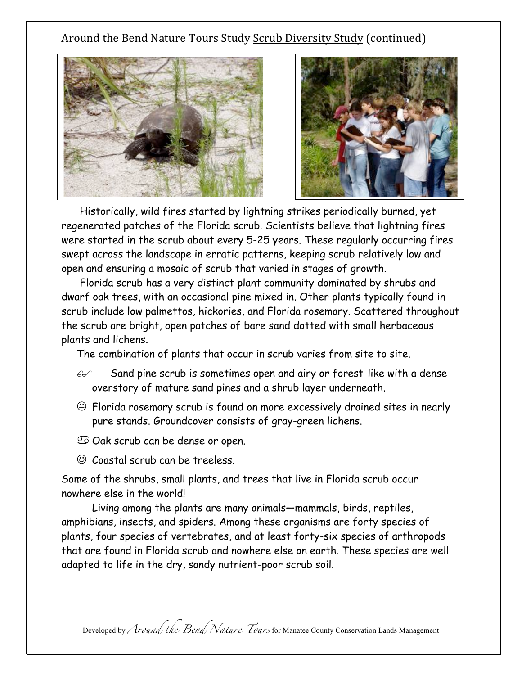## Around the Bend Nature Tours Study Scrub Diversity Study (continued)





Historically, wild fires started by lightning strikes periodically burned, yet regenerated patches of the Florida scrub. Scientists believe that lightning fires were started in the scrub about every 5-25 years. These regularly occurring fires swept across the landscape in erratic patterns, keeping scrub relatively low and open and ensuring a mosaic of scrub that varied in stages of growth.

Florida scrub has a very distinct plant community dominated by shrubs and dwarf oak trees, with an occasional pine mixed in. Other plants typically found in scrub include low palmettos, hickories, and Florida rosemary. Scattered throughout the scrub are bright, open patches of bare sand dotted with small herbaceous plants and lichens.

The combination of plants that occur in scrub varies from site to site.

- $\epsilon$  Sand pine scrub is sometimes open and airy or forest-like with a dense overstory of mature sand pines and a shrub layer underneath.
- $\odot$  Florida rosemary scrub is found on more excessively drained sites in nearly pure stands. Groundcover consists of gray-green lichens.
- $\mathfrak{S}$  Oak scrub can be dense or open.
- ☺ Coastal scrub can be treeless.

Some of the shrubs, small plants, and trees that live in Florida scrub occur nowhere else in the world!

Living among the plants are many animals—mammals, birds, reptiles, amphibians, insects, and spiders. Among these organisms are forty species of plants, four species of vertebrates, and at least forty-six species of arthropods that are found in Florida scrub and nowhere else on earth. These species are well adapted to life in the dry, sandy nutrient-poor scrub soil.

Developed by *Around the Bend Nature Tours* for Manatee County Conservation Lands Management